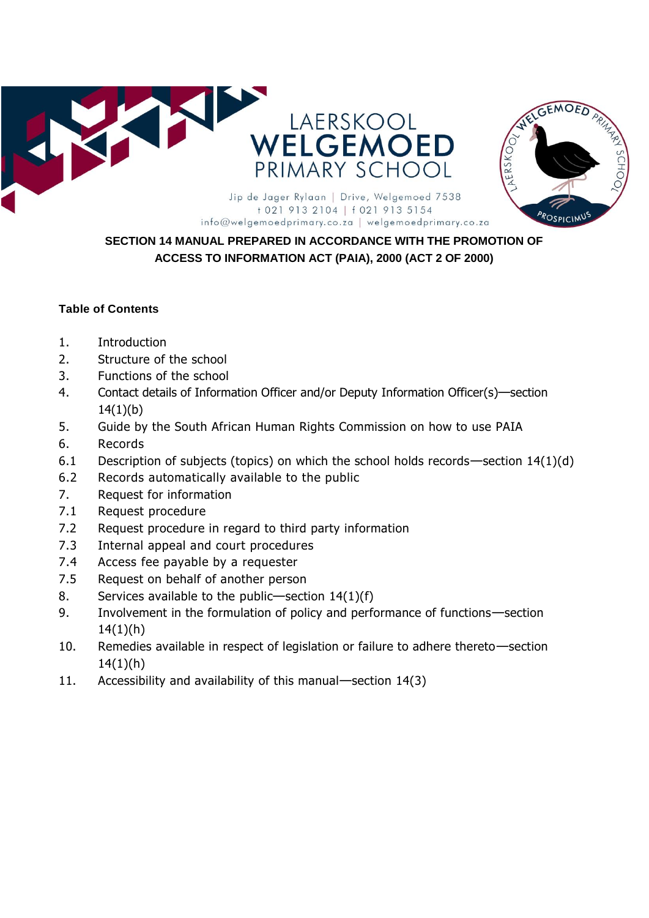



# +021 913 2104 | f 021 913 5154 info@welgemoedprimary.co.za | welgemoedprimary.co.za

# **SECTION 14 MANUAL PREPARED IN ACCORDANCE WITH THE PROMOTION OF ACCESS TO INFORMATION ACT (PAIA), 2000 (ACT 2 OF 2000)**

#### **Table of Contents**

- 1. Introduction
- 2. Structure of the school
- 3. Functions of the school
- 4. Contact details of Information Officer and/or Deputy Information Officer(s)—section  $14(1)(b)$
- 5. Guide by the South African Human Rights Commission on how to use PAIA
- 6. Records
- 6.1 Description of subjects (topics) on which the school holds records—section 14(1)(d)
- 6.2 Records automatically available to the public
- 7. Request for information
- 7.1 Request procedure
- 7.2 Request procedure in regard to third party information
- 7.3 Internal appeal and court procedures
- 7.4 Access fee payable by a requester
- 7.5 Request on behalf of another person
- 8. Services available to the public—section 14(1)(f)
- 9. Involvement in the formulation of policy and performance of functions—section  $14(1)(h)$
- 10. Remedies available in respect of legislation or failure to adhere thereto—section  $14(1)(h)$
- 11. Accessibility and availability of this manual—section 14(3)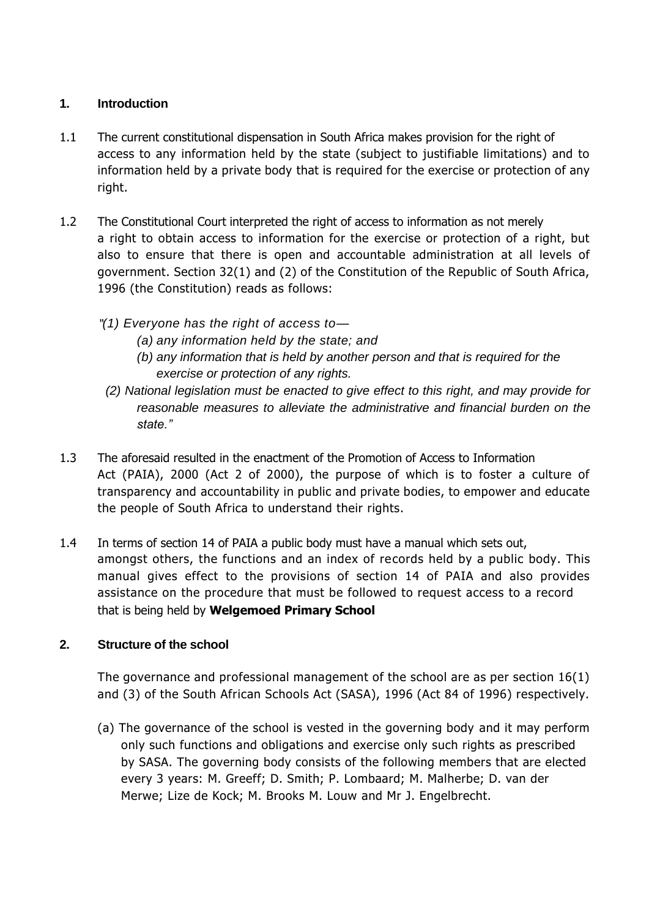#### **1. Introduction**

- 1.1 The current constitutional dispensation in South Africa makes provision for the right of access to any information held by the state (subject to justifiable limitations) and to information held by a private body that is required for the exercise or protection of any right.
- 1.2 The Constitutional Court interpreted the right of access to information as not merely a right to obtain access to information for the exercise or protection of a right, but also to ensure that there is open and accountable administration at all levels of government. Section 32(1) and (2) of the Constitution of the Republic of South Africa, 1996 (the Constitution) reads as follows:
	- "*(1) Everyone has the right of access to—*
		- *(a) any information held by the state; and*
		- *(b) any information that is held by another person and that is required for the exercise or protection of any rights.*
		- *(2) National legislation must be enacted to give effect to this right, and may provide for reasonable measures to alleviate the administrative and financial burden on the state."*
- 1.3 The aforesaid resulted in the enactment of the Promotion of Access to Information Act (PAIA), 2000 (Act 2 of 2000), the purpose of which is to foster a culture of transparency and accountability in public and private bodies, to empower and educate the people of South Africa to understand their rights.
- 1.4 In terms of section 14 of PAIA a public body must have a manual which sets out, amongst others, the functions and an index of records held by a public body. This manual gives effect to the provisions of section 14 of PAIA and also provides assistance on the procedure that must be followed to request access to a record that is being held by **Welgemoed Primary School**

## **2. Structure of the school**

The governance and professional management of the school are as per section 16(1) and (3) of the South African Schools Act (SASA), 1996 (Act 84 of 1996) respectively.

(a) The governance of the school is vested in the governing body and it may perform only such functions and obligations and exercise only such rights as prescribed by SASA. The governing body consists of the following members that are elected every 3 years: M. Greeff; D. Smith; P. Lombaard; M. Malherbe; D. van der Merwe; Lize de Kock; M. Brooks M. Louw and Mr J. Engelbrecht.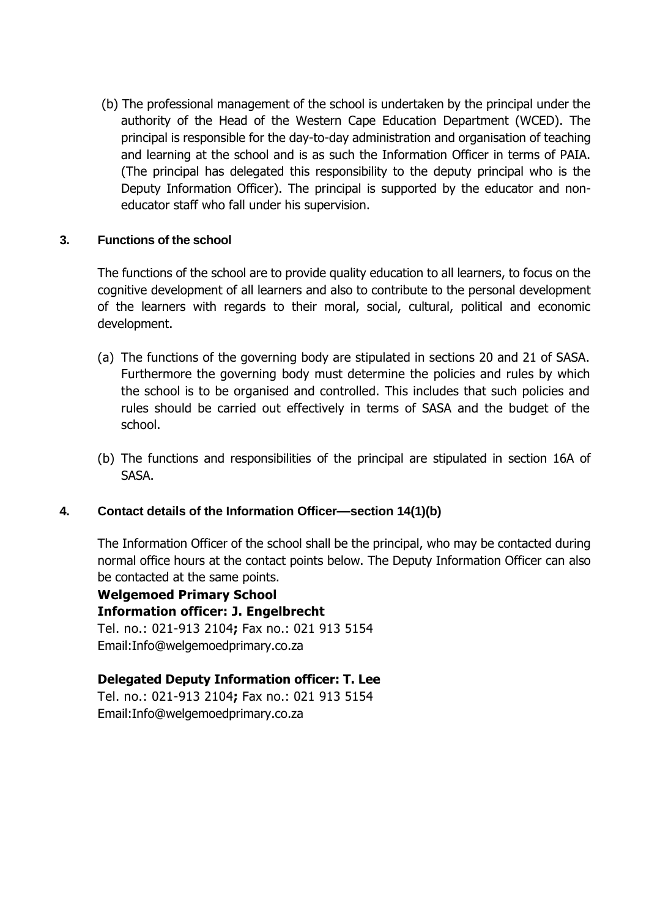(b) The professional management of the school is undertaken by the principal under the authority of the Head of the Western Cape Education Department (WCED). The principal is responsible for the day-to-day administration and organisation of teaching and learning at the school and is as such the Information Officer in terms of PAIA. (The principal has delegated this responsibility to the deputy principal who is the Deputy Information Officer). The principal is supported by the educator and noneducator staff who fall under his supervision.

#### **3. Functions of the school**

The functions of the school are to provide quality education to all learners, to focus on the cognitive development of all learners and also to contribute to the personal development of the learners with regards to their moral, social, cultural, political and economic development.

- (a) The functions of the governing body are stipulated in sections 20 and 21 of SASA. Furthermore the governing body must determine the policies and rules by which the school is to be organised and controlled. This includes that such policies and rules should be carried out effectively in terms of SASA and the budget of the school.
- (b) The functions and responsibilities of the principal are stipulated in section 16A of SASA.

#### **4. Contact details of the Information Officer—section 14(1)(b)**

The Information Officer of the school shall be the principal, who may be contacted during normal office hours at the contact points below. The Deputy Information Officer can also be contacted at the same points.

**Welgemoed Primary School Information officer: J. Engelbrecht**  Tel. no.: 021-913 2104**;** Fax no.: 021 913 5154 Email:Info@welgemoedprimary.co.za

# **Delegated Deputy Information officer: T. Lee**

Tel. no.: 021-913 2104**;** Fax no.: 021 913 5154 Email:Info@welgemoedprimary.co.za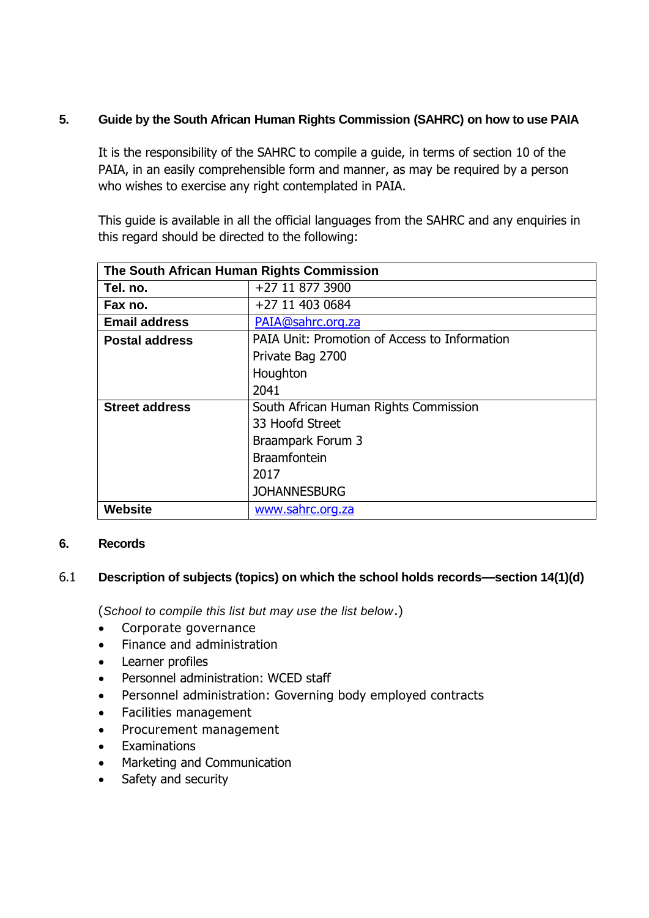### **5. Guide by the South African Human Rights Commission (SAHRC) on how to use PAIA**

It is the responsibility of the SAHRC to compile a guide, in terms of section 10 of the PAIA, in an easily comprehensible form and manner, as may be required by a person who wishes to exercise any right contemplated in PAIA.

This guide is available in all the official languages from the SAHRC and any enquiries in this regard should be directed to the following:

| The South African Human Rights Commission |                                               |  |
|-------------------------------------------|-----------------------------------------------|--|
| Tel. no.                                  | +27 11 877 3900                               |  |
| Fax no.                                   | +27 11 403 0684                               |  |
| <b>Email address</b>                      | PAIA@sahrc.org.za                             |  |
| <b>Postal address</b>                     | PAIA Unit: Promotion of Access to Information |  |
|                                           | Private Bag 2700                              |  |
|                                           | Houghton                                      |  |
|                                           | 2041                                          |  |
| <b>Street address</b>                     | South African Human Rights Commission         |  |
|                                           | 33 Hoofd Street                               |  |
|                                           | Braampark Forum 3                             |  |
|                                           | <b>Braamfontein</b>                           |  |
|                                           | 2017                                          |  |
|                                           | <b>JOHANNESBURG</b>                           |  |
| <b>Website</b>                            | www.sahrc.org.za                              |  |

#### **6. Records**

#### 6.1 **Description of subjects (topics) on which the school holds records—section 14(1)(d)**

(*School to compile this list but may use the list below*.)

- Corporate governance
- Finance and administration
- Learner profiles
- Personnel administration: WCED staff
- Personnel administration: Governing body employed contracts
- Facilities management
- Procurement management
- **Examinations**
- Marketing and Communication
- Safety and security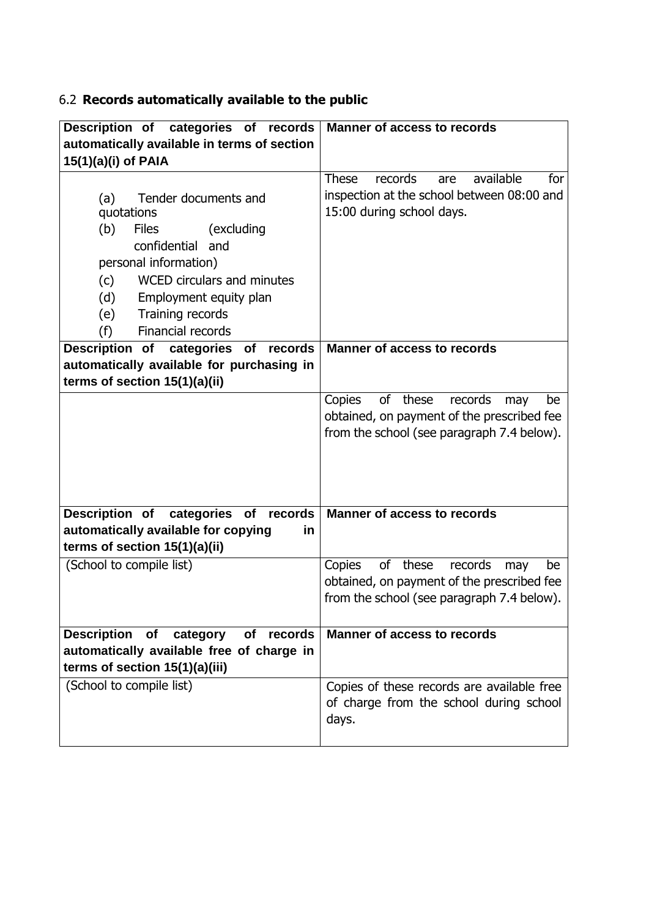# 6.2 **Records automatically available to the public**

| Description of categories of records               | <b>Manner of access to records</b>                 |
|----------------------------------------------------|----------------------------------------------------|
| automatically available in terms of section        |                                                    |
| 15(1)(a)(i) of PAIA                                |                                                    |
|                                                    | available<br><b>These</b><br>records<br>are<br>for |
| Tender documents and<br>(a)                        | inspection at the school between 08:00 and         |
| quotations                                         | 15:00 during school days.                          |
| (b)<br><b>Files</b><br>(excluding                  |                                                    |
| confidential and                                   |                                                    |
| personal information)                              |                                                    |
| WCED circulars and minutes<br>(c)                  |                                                    |
| (d)<br>Employment equity plan                      |                                                    |
| Training records<br>(e)                            |                                                    |
| <b>Financial records</b><br>(f)                    |                                                    |
| Description of categories of<br>records            | <b>Manner of access to records</b>                 |
| automatically available for purchasing in          |                                                    |
| terms of section 15(1)(a)(ii)                      |                                                    |
|                                                    | of these<br>records<br>Copies<br>may<br>be         |
|                                                    | obtained, on payment of the prescribed fee         |
|                                                    | from the school (see paragraph 7.4 below).         |
|                                                    |                                                    |
|                                                    |                                                    |
|                                                    |                                                    |
| Description of categories of records               | <b>Manner of access to records</b>                 |
| automatically available for copying<br>in          |                                                    |
| terms of section 15(1)(a)(ii)                      |                                                    |
| (School to compile list)                           | of these records<br>Copies<br>may<br>be            |
|                                                    | obtained, on payment of the prescribed fee         |
|                                                    | from the school (see paragraph 7.4 below).         |
|                                                    |                                                    |
| <b>Description</b><br>of<br>category<br>of records | <b>Manner of access to records</b>                 |
| automatically available free of charge in          |                                                    |
| terms of section 15(1)(a)(iii)                     |                                                    |
| (School to compile list)                           | Copies of these records are available free         |
|                                                    | of charge from the school during school            |
|                                                    | days.                                              |
|                                                    |                                                    |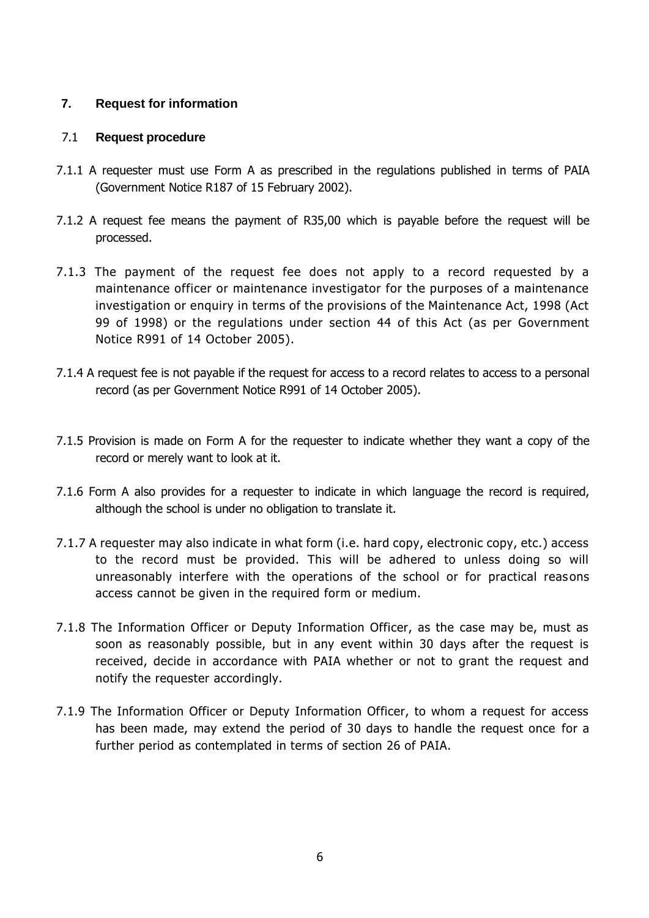#### **7. Request for information**

#### 7.1 **Request procedure**

- 7.1.1 A requester must use Form A as prescribed in the regulations published in terms of PAIA (Government Notice R187 of 15 February 2002).
- 7.1.2 A request fee means the payment of R35,00 which is payable before the request will be processed.
- 7.1.3 The payment of the request fee does not apply to a record requested by a maintenance officer or maintenance investigator for the purposes of a maintenance investigation or enquiry in terms of the provisions of the Maintenance Act, 1998 (Act 99 of 1998) or the regulations under section 44 of this Act (as per Government Notice R991 of 14 October 2005).
- 7.1.4 A request fee is not payable if the request for access to a record relates to access to a personal record (as per Government Notice R991 of 14 October 2005).
- 7.1.5 Provision is made on Form A for the requester to indicate whether they want a copy of the record or merely want to look at it.
- 7.1.6 Form A also provides for a requester to indicate in which language the record is required, although the school is under no obligation to translate it.
- 7.1.7 A requester may also indicate in what form (i.e. hard copy, electronic copy, etc.) access to the record must be provided. This will be adhered to unless doing so will unreasonably interfere with the operations of the school or for practical reasons access cannot be given in the required form or medium.
- 7.1.8 The Information Officer or Deputy Information Officer, as the case may be, must as soon as reasonably possible, but in any event within 30 days after the request is received, decide in accordance with PAIA whether or not to grant the request and notify the requester accordingly.
- 7.1.9 The Information Officer or Deputy Information Officer, to whom a request for access has been made, may extend the period of 30 days to handle the request once for a further period as contemplated in terms of section 26 of PAIA.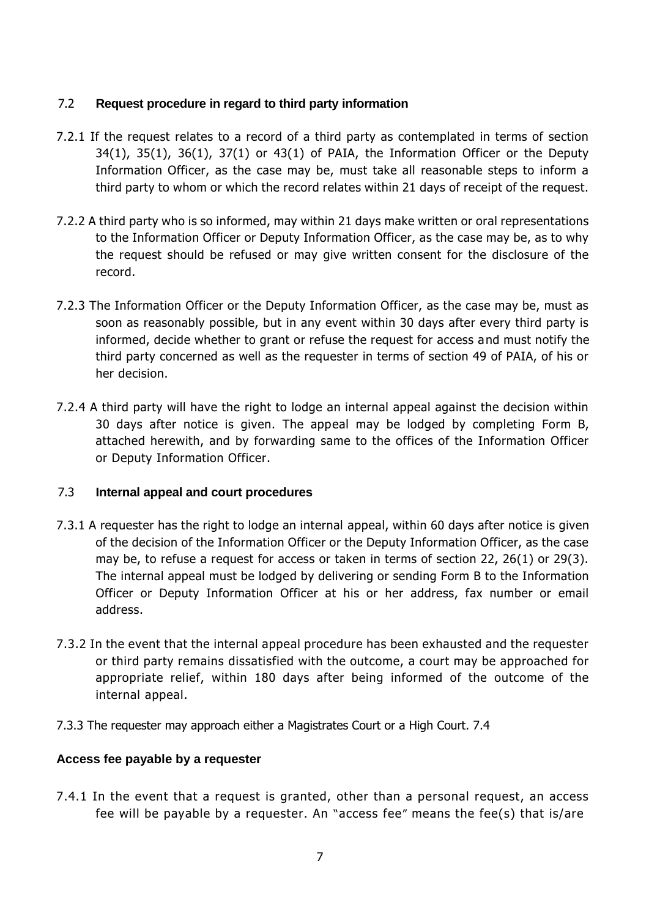#### 7.2 **Request procedure in regard to third party information**

- 7.2.1 If the request relates to a record of a third party as contemplated in terms of section  $34(1)$ ,  $35(1)$ ,  $36(1)$ ,  $37(1)$  or  $43(1)$  of PAIA, the Information Officer or the Deputy Information Officer, as the case may be, must take all reasonable steps to inform a third party to whom or which the record relates within 21 days of receipt of the request.
- 7.2.2 A third party who is so informed, may within 21 days make written or oral representations to the Information Officer or Deputy Information Officer, as the case may be, as to why the request should be refused or may give written consent for the disclosure of the record.
- 7.2.3 The Information Officer or the Deputy Information Officer, as the case may be, must as soon as reasonably possible, but in any event within 30 days after every third party is informed, decide whether to grant or refuse the request for access and must notify the third party concerned as well as the requester in terms of section 49 of PAIA, of his or her decision.
- 7.2.4 A third party will have the right to lodge an internal appeal against the decision within 30 days after notice is given. The appeal may be lodged by completing Form B, attached herewith, and by forwarding same to the offices of the Information Officer or Deputy Information Officer.

## 7.3 **Internal appeal and court procedures**

- 7.3.1 A requester has the right to lodge an internal appeal, within 60 days after notice is given of the decision of the Information Officer or the Deputy Information Officer, as the case may be, to refuse a request for access or taken in terms of section 22, 26(1) or 29(3). The internal appeal must be lodged by delivering or sending Form B to the Information Officer or Deputy Information Officer at his or her address, fax number or email address.
- 7.3.2 In the event that the internal appeal procedure has been exhausted and the requester or third party remains dissatisfied with the outcome, a court may be approached for appropriate relief, within 180 days after being informed of the outcome of the internal appeal.
- 7.3.3 The requester may approach either a Magistrates Court or a High Court. 7.4

#### **Access fee payable by a requester**

7.4.1 In the event that a request is granted, other than a personal request, an access fee will be payable by a requester. An "access fee" means the fee(s) that is/are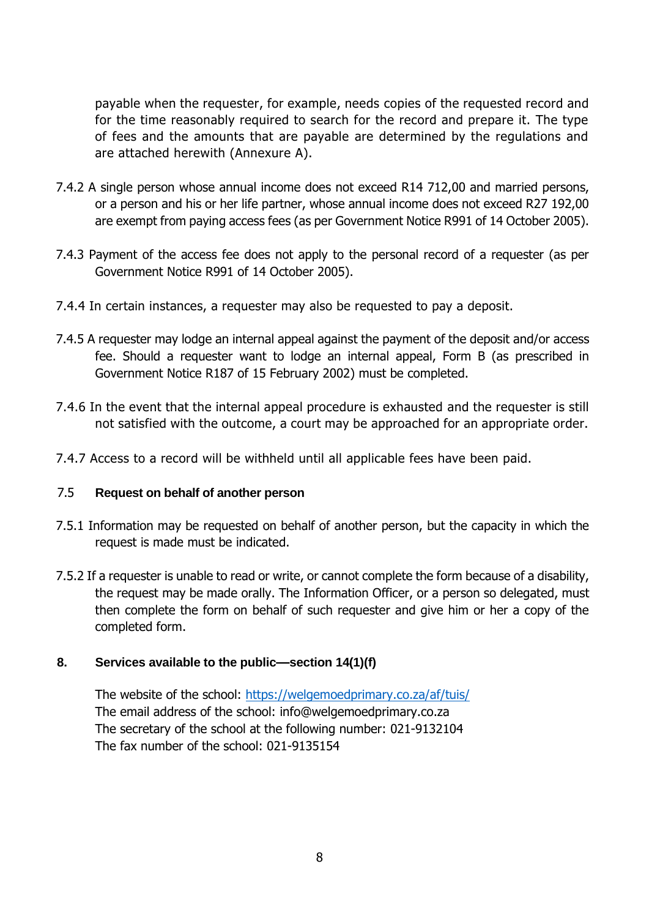payable when the requester, for example, needs copies of the requested record and for the time reasonably required to search for the record and prepare it. The type of fees and the amounts that are payable are determined by the regulations and are attached herewith (Annexure A).

- 7.4.2 A single person whose annual income does not exceed R14 712,00 and married persons, or a person and his or her life partner, whose annual income does not exceed R27 192,00 are exempt from paying access fees (as per Government Notice R991 of 14 October 2005).
- 7.4.3 Payment of the access fee does not apply to the personal record of a requester (as per Government Notice R991 of 14 October 2005).
- 7.4.4 In certain instances, a requester may also be requested to pay a deposit.
- 7.4.5 A requester may lodge an internal appeal against the payment of the deposit and/or access fee. Should a requester want to lodge an internal appeal, Form B (as prescribed in Government Notice R187 of 15 February 2002) must be completed.
- 7.4.6 In the event that the internal appeal procedure is exhausted and the requester is still not satisfied with the outcome, a court may be approached for an appropriate order.
- 7.4.7 Access to a record will be withheld until all applicable fees have been paid.

#### 7.5 **Request on behalf of another person**

- 7.5.1 Information may be requested on behalf of another person, but the capacity in which the request is made must be indicated.
- 7.5.2 If a requester is unable to read or write, or cannot complete the form because of a disability, the request may be made orally. The Information Officer, or a person so delegated, must then complete the form on behalf of such requester and give him or her a copy of the completed form.

## **8. Services available to the public—section 14(1)(f)**

The website of the school:<https://welgemoedprimary.co.za/af/tuis/> The email address of the school: info@welgemoedprimary.co.za The secretary of the school at the following number: 021-9132104 The fax number of the school: 021-9135154